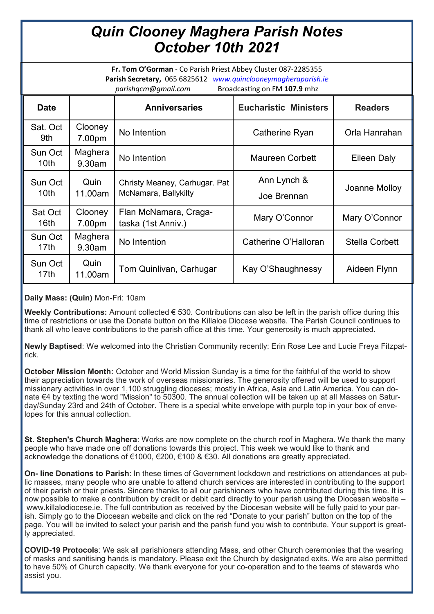## *Quin Clooney Maghera Parish Notes October 10th 2021*

**Fr. Tom O'Gorman** - Co Parish Priest Abbey Cluster 087-2285355 **Parish Secretary,** 065 6825612 *www.quinclooneymagheraparish.ie parishqcm@gmail.com* Broadcasting on FM **107.9** mhz

| ر ب<br>ັ                    |                   |                                                       |                              |                       |
|-----------------------------|-------------------|-------------------------------------------------------|------------------------------|-----------------------|
| <b>Date</b>                 |                   | <b>Anniversaries</b>                                  | <b>Eucharistic Ministers</b> | <b>Readers</b>        |
| Sat. Oct<br>9th             | Clooney<br>7.00pm | No Intention                                          | Catherine Ryan               | Orla Hanrahan         |
| Sun Oct<br>10 <sub>th</sub> | Maghera<br>9.30am | No Intention                                          | <b>Maureen Corbett</b>       | Eileen Daly           |
| Sun Oct<br>10 <sub>th</sub> | Quin<br>11.00am   | Christy Meaney, Carhugar. Pat<br>McNamara, Ballykilty | Ann Lynch &<br>Joe Brennan   | Joanne Molloy         |
| Sat Oct<br>16 <sub>th</sub> | Clooney<br>7.00pm | Flan McNamara, Craga-<br>taska (1st Anniv.)           | Mary O'Connor                | Mary O'Connor         |
| Sun Oct<br>17 <sub>th</sub> | Maghera<br>9.30am | No Intention                                          | Catherine O'Halloran         | <b>Stella Corbett</b> |
| Sun Oct<br>17 <sub>th</sub> | Quin<br>11.00am   | Tom Quinlivan, Carhugar                               | Kay O'Shaughnessy            | Aideen Flynn          |

## **Daily Mass: (Quin)** Mon-Fri: 10am

**Weekly Contributions:** Amount collected € 530. Contributions can also be left in the parish office during this time of restrictions or use the Donate button on the Killaloe Diocese website. The Parish Council continues to thank all who leave contributions to the parish office at this time. Your generosity is much appreciated.

**Newly Baptised**: We welcomed into the Christian Community recently: Erin Rose Lee and Lucie Freya Fitzpatrick.

**October Mission Month:** October and World Mission Sunday is a time for the faithful of the world to show their appreciation towards the work of overseas missionaries. The generosity offered will be used to support missionary activities in over 1,100 struggling dioceses; mostly in Africa, Asia and Latin America. You can donate €4 by texting the word "Mission" to 50300. The annual collection will be taken up at all Masses on Saturday/Sunday 23rd and 24th of October. There is a special white envelope with purple top in your box of envelopes for this annual collection.

**St. Stephen's Church Maghera**: Works are now complete on the church roof in Maghera. We thank the many people who have made one off donations towards this project. This week we would like to thank and acknowledge the donations of €1000, €200, €100 & €30. All donations are greatly appreciated.

**On- line Donations to Parish**: In these times of Government lockdown and restrictions on attendances at public masses, many people who are unable to attend church services are interested in contributing to the support of their parish or their priests. Sincere thanks to all our parishioners who have contributed during this time. It is now possible to make a contribution by credit or debit card directly to your parish using the Diocesan website – www.killalodiocese.ie. The full contribution as received by the Diocesan website will be fully paid to your parish. Simply go to the Diocesan website and click on the red "Donate to your parish" button on the top of the page. You will be invited to select your parish and the parish fund you wish to contribute. Your support is greatly appreciated.

**COVID-19 Protocols**: We ask all parishioners attending Mass, and other Church ceremonies that the wearing of masks and sanitising hands is mandatory. Please exit the Church by designated exits. We are also permitted to have 50% of Church capacity. We thank everyone for your co-operation and to the teams of stewards who assist you.